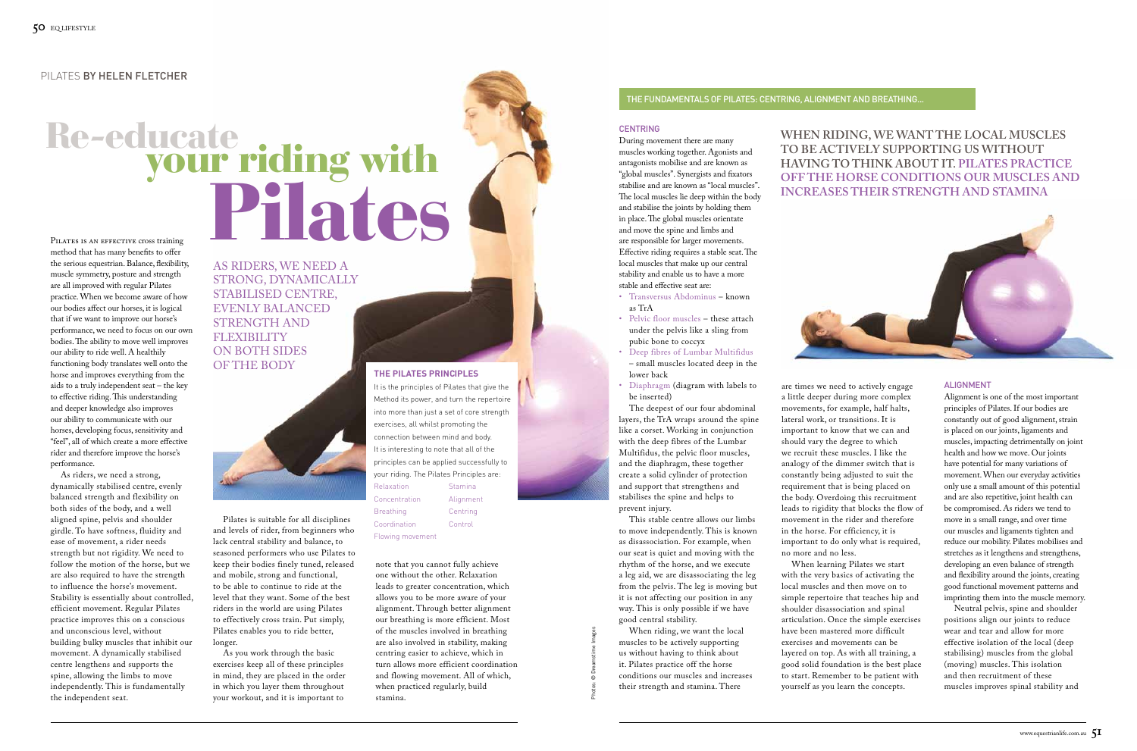# Pilates is an effective cross training Re-educate<br>your riding with Fabilise and are known as "local muscles".<br>The local muscles in dep within the body<br>and stabilise the joints by holding them<br>in place. The global muscles orientate<br>and the spinal muscles orientate<br>are responsible for large

method that has many benefits to offer the serious equestrian. Balance, flexibility, muscle symmetry, posture and strength are all improved with regular Pilates practice. When we become aware of how our bodies affect our horses, it is logical that if we want to improve our horse's performance, we need to focus on our own bodies. The ability to move well improves our ability to ride well. A healthily functioning body translates well onto the horse and improves everything from the aids to a truly independent seat – the key to effective riding. This understanding and deeper knowledge also improves our ability to communicate with our horses, developing focus, sensitivity and "feel", all of which create a more effective rider and therefore improve the horse's performance.

# as riders, we need a strong, dynamically stabilised centre, evenly balanced strength and **FLEXIBILITY** on both sides OF THE BODY



As riders, we need a strong, dynamically stabilised centre, evenly balanced strength and flexibility on both sides of the body, and a well aligned spine, pelvis and shoulder girdle. To have softness, fluidity and ease of movement, a rider needs strength but not rigidity. We need to follow the motion of the horse, but we are also required to have the strength to influence the horse's movement. Stability is essentially about controlled, efficient movement. Regular Pilates practice improves this on a conscious and unconscious level, without building bulky muscles that inhibit our movement. A dynamically stabilised centre lengthens and supports the spine, allowing the limbs to move independently. This is fundamentally the independent seat.

# **When riding, we want the local muscles to be actively supporting us without having to think about it. Pilates practice off the horse conditions our muscles and**



#### **ALIGNMENT**

## pilates By helen fletcher

Photos: © Dreamstime Images

### **The Pilates Principles**

It is the principles of Pilates that give the Method its power, and turn the repertoire into more than just a set of core strength exercises, all whilst promoting the connection between mind and body. It is interesting to note that all of the principles can be applied successfully to your riding. The Pilates Principles are: Relaxation Stamina Concentration Alignment Breathing Centring Coordination Control

Flowing movement

Pilates is suitable for all disciplines and levels of rider, from beginners who lack central stability and balance, to seasoned performers who use Pilates to keep their bodies finely tuned, released and mobile, strong and functional, to be able to continue to ride at the level that they want. Some of the best riders in the world are using Pilates to effectively cross train. Put simply, Pilates enables you to ride better, longer.

As you work through the basic exercises keep all of these principles in mind, they are placed in the order in which you layer them throughout your workout, and it is important to



note that you cannot fully achieve one without the other. Relaxation leads to greater concentration, which allows you to be more aware of your alignment. Through better alignment our breathing is more efficient. Most of the muscles involved in breathing are also involved in stability, making centring easier to achieve, which in turn allows more efficient coordination and flowing movement. All of which, when practiced regularly, build stamina.

During movement there are many muscles working together. Agonists and antagonists mobilise and are known as "global muscles". Synergists and fixators stabilise and are known as "local muscles". The local muscles lie deep within the body and stabilise the joints by holding them in place. The global muscles orientate and move the spine and limbs and are responsible for larger movements. Effective riding requires a stable seat. The local muscles that make up our central stability and enable us to have a more stable and effective seat are:

- • Transversus Abdominus known as TrA
- Pelvic floor muscles these attach under the pelvis like a sling from pubic bone to coccyx
- • Deep fibres of Lumbar Multifidus – small muscles located deep in the lower back
- • Diaphragm (diagram with labels to be inserted)

The deepest of our four abdominal layers, the TrA wraps around the spine like a corset. Working in conjunction with the deep fibres of the Lumbar Multifidus, the pelvic floor muscles, and the diaphragm, these together create a solid cylinder of protection and support that strengthens and stabilises the spine and helps to prevent injury.

This stable centre allows our limbs to move independently. This is known as disassociation. For example, when our seat is quiet and moving with the rhythm of the horse, and we execute a leg aid, we are disassociating the leg from the pelvis. The leg is moving but it is not affecting our position in any way. This is only possible if we have good central stability.

When riding, we want the local muscles to be actively supporting us without having to think about it. Pilates practice off the horse conditions our muscles and increases their strength and stamina. There

are times we need to actively engage a little deeper during more complex movements, for example, half halts, lateral work, or transitions. It is important to know that we can and should vary the degree to which we recruit these muscles. I like the analogy of the dimmer switch that is constantly being adjusted to suit the requirement that is being placed on the body. Overdoing this recruitment leads to rigidity that blocks the flow of movement in the rider and therefore in the horse. For efficiency, it is important to do only what is required, no more and no less. When learning Pilates we start with the very basics of activating the local muscles and then move on to simple repertoire that teaches hip and shoulder disassociation and spinal articulation. Once the simple exercises have been mastered more difficult exercises and movements can be layered on top. As with all training, a good solid foundation is the best place to start. Remember to be patient with yourself as you learn the concepts.

Alignment is one of the most important principles of Pilates. If our bodies are constantly out of good alignment, strain is placed on our joints, ligaments and muscles, impacting detrimentally on joint health and how we move. Our joints have potential for many variations of movement. When our everyday activities only use a small amount of this potential and are also repetitive, joint health can be compromised. As riders we tend to move in a small range, and over time our muscles and ligaments tighten and reduce our mobility. Pilates mobilises and stretches as it lengthens and strengthens, developing an even balance of strength and flexibility around the joints, creating good functional movement patterns and imprinting them into the muscle memory.

Neutral pelvis, spine and shoulder positions align our joints to reduce wear and tear and allow for more effective isolation of the local (deep stabilising) muscles from the global (moving) muscles. This isolation and then recruitment of these muscles improves spinal stability and

# The Fundamentals of Pilates: Centring, Alignment and Breathing...

#### **CENTRING**